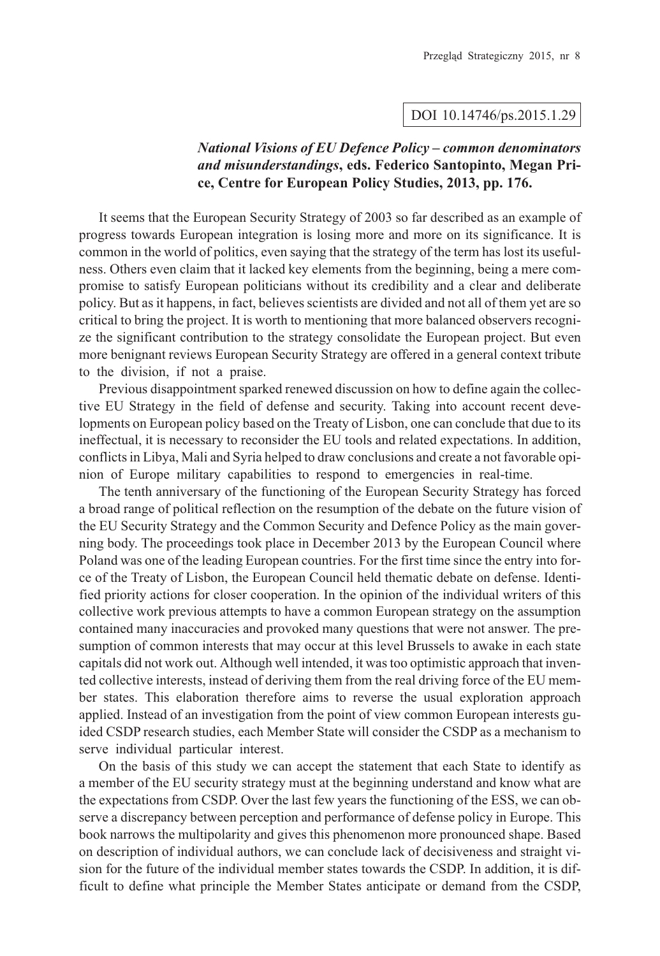## DOI 10.14746/ps.2015.1.29

## *National Visions of EU Defence Policy – common denominators and misunderstandings***, eds. Federico Santopinto, Megan Price, Centre for European Policy Studies, 2013, pp. 176.**

It seems that the European Security Strategy of 2003 so far described as an example of progress towards European integration is losing more and more on its significance. It is common in the world of politics, even saying that the strategy of the term has lost its usefulness. Others even claim that it lacked key elements from the beginning, being a mere compromise to satisfy European politicians without its credibility and a clear and deliberate policy. But as it happens, in fact, believes scientists are divided and not all of them yet are so critical to bring the project. It is worth to mentioning that more balanced observers recognize the significant contribution to the strategy consolidate the European project. But even more benignant reviews European Security Strategy are offered in a general context tribute to the division, if not a praise.

Previous disappointment sparked renewed discussion on how to define again the collective EU Strategy in the field of defense and security. Taking into account recent developments on European policy based on the Treaty of Lisbon, one can conclude that due to its ineffectual, it is necessary to reconsider the EU tools and related expectations. In addition, conflicts in Libya, Mali and Syria helped to draw conclusions and create a not favorable opinion of Europe military capabilities to respond to emergencies in real-time.

The tenth anniversary of the functioning of the European Security Strategy has forced a broad range of political reflection on the resumption of the debate on the future vision of the EU Security Strategy and the Common Security and Defence Policy as the main governing body. The proceedings took place in December 2013 by the European Council where Poland was one of the leading European countries. For the first time since the entry into force of the Treaty of Lisbon, the European Council held thematic debate on defense. Identified priority actions for closer cooperation. In the opinion of the individual writers of this collective work previous attempts to have a common European strategy on the assumption contained many inaccuracies and provoked many questions that were not answer. The presumption of common interests that may occur at this level Brussels to awake in each state capitals did not work out. Although well intended, it was too optimistic approach that invented collective interests, instead of deriving them from the real driving force of the EU member states. This elaboration therefore aims to reverse the usual exploration approach applied. Instead of an investigation from the point of view common European interests guided CSDP research studies, each Member State will consider the CSDP as a mechanism to serve individual particular interest.

On the basis of this study we can accept the statement that each State to identify as a member of the EU security strategy must at the beginning understand and know what are the expectations from CSDP. Over the last few years the functioning of the ESS, we can observe a discrepancy between perception and performance of defense policy in Europe. This book narrows the multipolarity and gives this phenomenon more pronounced shape. Based on description of individual authors, we can conclude lack of decisiveness and straight vision for the future of the individual member states towards the CSDP. In addition, it is difficult to define what principle the Member States anticipate or demand from the CSDP,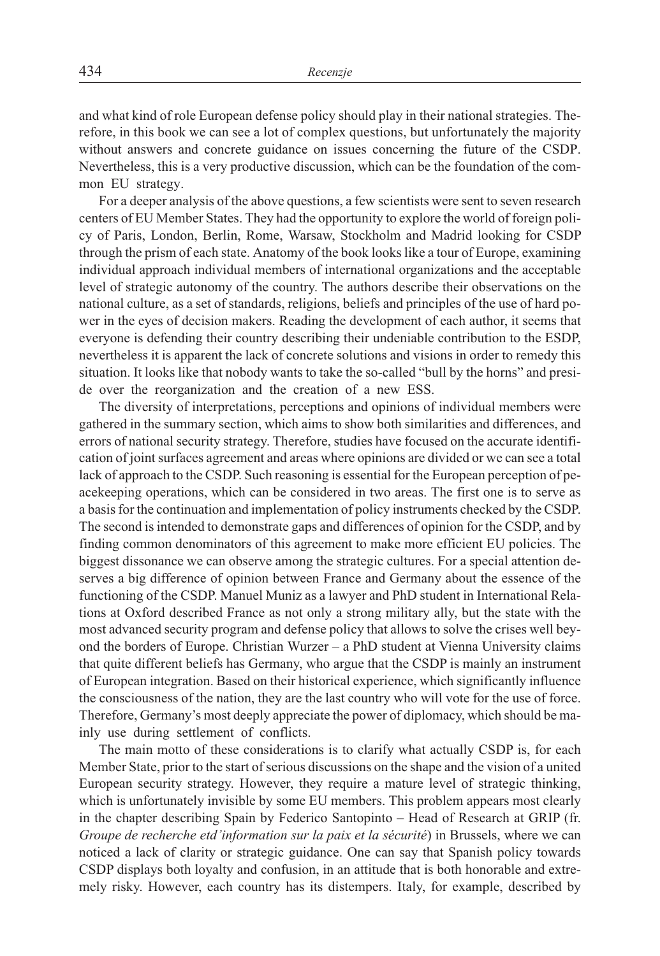and what kind of role European defense policy should play in their national strategies. Therefore, in this book we can see a lot of complex questions, but unfortunately the majority without answers and concrete guidance on issues concerning the future of the CSDP. Nevertheless, this is a very productive discussion, which can be the foundation of the common EU strategy.

For a deeper analysis of the above questions, a few scientists were sent to seven research centers of EU Member States. They had the opportunity to explore the world of foreign policy of Paris, London, Berlin, Rome, Warsaw, Stockholm and Madrid looking for CSDP through the prism of each state. Anatomy of the book looks like a tour of Europe, examining individual approach individual members of international organizations and the acceptable level of strategic autonomy of the country. The authors describe their observations on the national culture, as a set of standards, religions, beliefs and principles of the use of hard power in the eyes of decision makers. Reading the development of each author, it seems that everyone is defending their country describing their undeniable contribution to the ESDP, nevertheless it is apparent the lack of concrete solutions and visions in order to remedy this situation. It looks like that nobody wants to take the so-called "bull by the horns" and preside over the reorganization and the creation of a new ESS.

The diversity of interpretations, perceptions and opinions of individual members were gathered in the summary section, which aims to show both similarities and differences, and errors of national security strategy. Therefore, studies have focused on the accurate identification of joint surfaces agreement and areas where opinions are divided or we can see a total lack of approach to the CSDP. Such reasoning is essential for the European perception of peacekeeping operations, which can be considered in two areas. The first one is to serve as a basis for the continuation and implementation of policy instruments checked by the CSDP. The second is intended to demonstrate gaps and differences of opinion for the CSDP, and by finding common denominators of this agreement to make more efficient EU policies. The biggest dissonance we can observe among the strategic cultures. For a special attention deserves a big difference of opinion between France and Germany about the essence of the functioning of the CSDP. Manuel Muniz as a lawyer and PhD student in International Relations at Oxford described France as not only a strong military ally, but the state with the most advanced security program and defense policy that allows to solve the crises well beyond the borders of Europe. Christian Wurzer – a PhD student at Vienna University claims that quite different beliefs has Germany, who argue that the CSDP is mainly an instrument of European integration. Based on their historical experience, which significantly influence the consciousness of the nation, they are the last country who will vote for the use of force. Therefore, Germany's most deeply appreciate the power of diplomacy, which should be mainly use during settlement of conflicts.

The main motto of these considerations is to clarify what actually CSDP is, for each Member State, prior to the start of serious discussions on the shape and the vision of a united European security strategy. However, they require a mature level of strategic thinking, which is unfortunately invisible by some EU members. This problem appears most clearly in the chapter describing Spain by Federico Santopinto – Head of Research at GRIP (fr. *Groupe de recherche etd'information sur la paix et la sécurité*) in Brussels, where we can noticed a lack of clarity or strategic guidance. One can say that Spanish policy towards CSDP displays both loyalty and confusion, in an attitude that is both honorable and extremely risky. However, each country has its distempers. Italy, for example, described by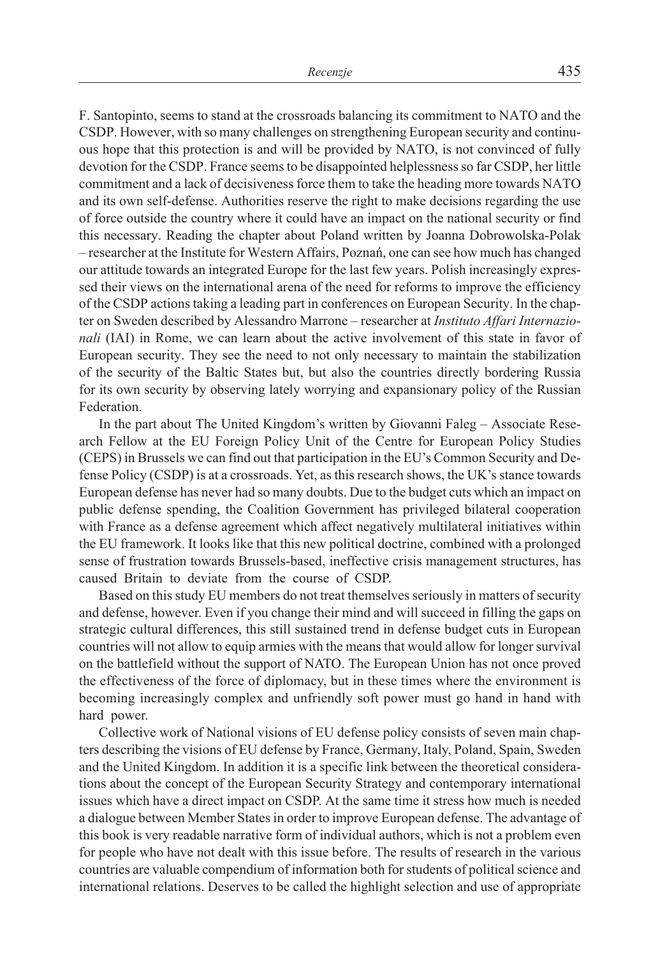F. Santopinto, seems to stand at the crossroads balancing its commitment to NATO and the CSDP. However, with so many challenges on strengthening European security and continuous hope that this protection is and will be provided by NATO, is not convinced of fully devotion for the CSDP. France seems to be disappointed helplessness so far CSDP, her little commitment and a lack of decisiveness force them to take the heading more towards NATO and its own self-defense. Authorities reserve the right to make decisions regarding the use of force outside the country where it could have an impact on the national security or find this necessary. Reading the chapter about Poland written by Joanna Dobrowolska-Polak – researcher at the Institute for Western Affairs, Poznañ, one can see how much has changed our attitude towards an integrated Europe for the last few years. Polish increasingly expressed their views on the international arena of the need for reforms to improve the efficiency of the CSDP actions taking a leading part in conferences on European Security. In the chapter on Sweden described by Alessandro Marrone – researcher at *Instituto Affari Internazionali* (IAI) in Rome, we can learn about the active involvement of this state in favor of European security. They see the need to not only necessary to maintain the stabilization of the security of the Baltic States but, but also the countries directly bordering Russia for its own security by observing lately worrying and expansionary policy of the Russian Federation.

In the part about The United Kingdom's written by Giovanni Faleg – Associate Research Fellow at the EU Foreign Policy Unit of the Centre for European Policy Studies (CEPS) in Brussels we can find out that participation in the EU's Common Security and Defense Policy (CSDP) is at a crossroads. Yet, as this research shows, the UK's stance towards European defense has never had so many doubts. Due to the budget cuts which an impact on public defense spending, the Coalition Government has privileged bilateral cooperation with France as a defense agreement which affect negatively multilateral initiatives within the EU framework. It looks like that this new political doctrine, combined with a prolonged sense of frustration towards Brussels-based, ineffective crisis management structures, has caused Britain to deviate from the course of CSDP.

Based on this study EU members do not treat themselves seriously in matters of security and defense, however. Even if you change their mind and will succeed in filling the gaps on strategic cultural differences, this still sustained trend in defense budget cuts in European countries will not allow to equip armies with the means that would allow for longer survival on the battlefield without the support of NATO. The European Union has not once proved the effectiveness of the force of diplomacy, but in these times where the environment is becoming increasingly complex and unfriendly soft power must go hand in hand with hard power.

Collective work of National visions of EU defense policy consists of seven main chapters describing the visions of EU defense by France, Germany, Italy, Poland, Spain, Sweden and the United Kingdom. In addition it is a specific link between the theoretical considerations about the concept of the European Security Strategy and contemporary international issues which have a direct impact on CSDP. At the same time it stress how much is needed a dialogue between Member States in order to improve European defense. The advantage of this book is very readable narrative form of individual authors, which is not a problem even for people who have not dealt with this issue before. The results of research in the various countries are valuable compendium of information both for students of political science and international relations. Deserves to be called the highlight selection and use of appropriate